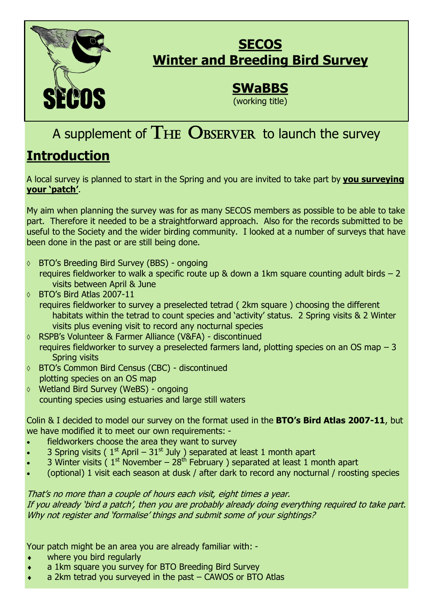

### **SECOS Winter and Breeding Bird Survey**

## **SWaBBS**

(working title)

# A supplement of  $THE$  OBSERVER to launch the survey

## **Introduction**

A local survey is planned to start in the Spring and you are invited to take part by **you surveying your 'patch'**.

My aim when planning the survey was for as many SECOS members as possible to be able to take part. Therefore it needed to be a straightforward approach. Also for the records submitted to be useful to the Society and the wider birding community. I looked at a number of surveys that have been done in the past or are still being done.

- BTO's Breeding Bird Survey (BBS) ongoing requires fieldworker to walk a specific route up & down a 1km square counting adult birds – 2 visits between April & June
- BTO's Bird Atlas 2007-11
	- requires fieldworker to survey a preselected tetrad ( 2km square ) choosing the different habitats within the tetrad to count species and 'activity' status. 2 Spring visits & 2 Winter visits plus evening visit to record any nocturnal species
- RSPB's Volunteer & Farmer Alliance (V&FA) discontinued requires fieldworker to survey a preselected farmers land, plotting species on an OS map – 3 Spring visits
- BTO's Common Bird Census (CBC) discontinued plotting species on an OS map
- Wetland Bird Survey (WeBS) ongoing counting species using estuaries and large still waters

Colin & I decided to model our survey on the format used in the **BTO's Bird Atlas 2007-11**, but we have modified it to meet our own requirements: -

- fieldworkers choose the area they want to survey
- 3 Spring visits ( $1<sup>st</sup>$  April  $31<sup>st</sup>$  July ) separated at least 1 month apart
- 3 Winter visits ( $1<sup>st</sup>$  November  $28<sup>th</sup>$  February ) separated at least 1 month apart
- (optional) 1 visit each season at dusk / after dark to record any nocturnal / roosting species

That's no more than a couple of hours each visit, eight times a year. If you already 'bird a patch', then you are probably already doing everything required to take part. Why not register and 'formalise' things and submit some of your sightings?

Your patch might be an area you are already familiar with: -

- where you bird regularly
- a 1km square you survey for BTO Breeding Bird Survey
- a 2km tetrad you surveyed in the past CAWOS or BTO Atlas